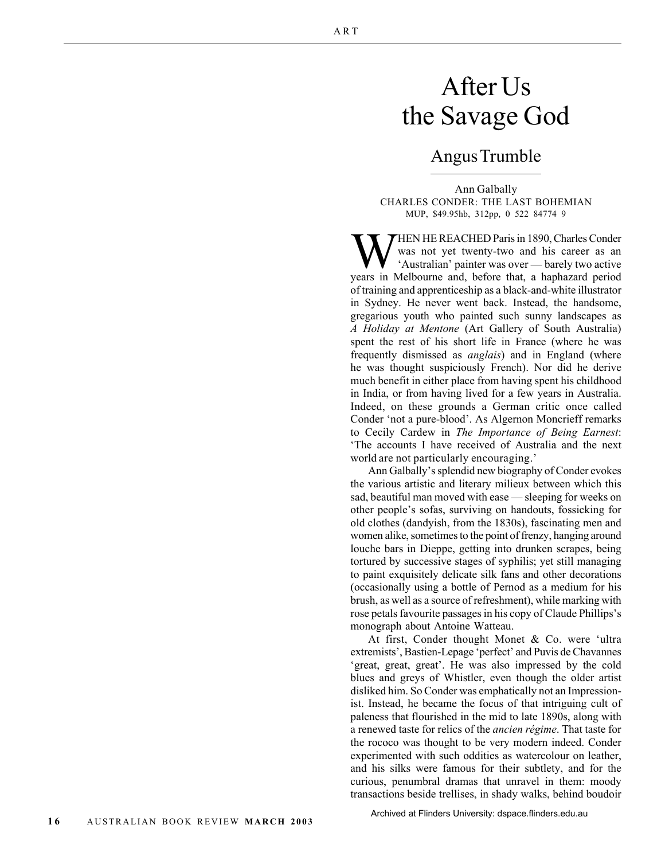## After Us the Savage God

## Angus Trumble

Ann Galbally CHARLES CONDER: THE LAST BOHEMIAN MUP, \$49.95hb, 312pp, 0 522 84774 9

WHEN HE REACHED Paris in 1890, Charles Conder<br>
'Australian' painter was over — barely two active<br>
Years in Malbourne, and before that a banhazard period was not yet twenty-two and his career as an years in Melbourne and, before that, a haphazard period of training and apprenticeship as a black-and-white illustrator in Sydney. He never went back. Instead, the handsome, gregarious youth who painted such sunny landscapes as *A Holiday at Mentone* (Art Gallery of South Australia) spent the rest of his short life in France (where he was frequently dismissed as *anglais*) and in England (where he was thought suspiciously French). Nor did he derive much benefit in either place from having spent his childhood in India, or from having lived for a few years in Australia. Indeed, on these grounds a German critic once called Conder 'not a pure-blood'. As Algernon Moncrieff remarks to Cecily Cardew in *The Importance of Being Earnest*: 'The accounts I have received of Australia and the next world are not particularly encouraging.'

Ann Galbally's splendid new biography of Conder evokes the various artistic and literary milieux between which this sad, beautiful man moved with ease — sleeping for weeks on other people's sofas, surviving on handouts, fossicking for old clothes (dandyish, from the 1830s), fascinating men and women alike, sometimes to the point of frenzy, hanging around louche bars in Dieppe, getting into drunken scrapes, being tortured by successive stages of syphilis; yet still managing to paint exquisitely delicate silk fans and other decorations (occasionally using a bottle of Pernod as a medium for his brush, as well as a source of refreshment), while marking with rose petals favourite passages in his copy of Claude Phillips's monograph about Antoine Watteau.

At first, Conder thought Monet & Co. were 'ultra extremists', Bastien-Lepage 'perfect' and Puvis de Chavannes 'great, great, great'. He was also impressed by the cold blues and greys of Whistler, even though the older artist disliked him. So Conder was emphatically not an Impressionist. Instead, he became the focus of that intriguing cult of paleness that flourished in the mid to late 1890s, along with a renewed taste for relics of the *ancien régime*. That taste for the rococo was thought to be very modern indeed. Conder experimented with such oddities as watercolour on leather, and his silks were famous for their subtlety, and for the curious, penumbral dramas that unravel in them: moody transactions beside trellises, in shady walks, behind boudoir